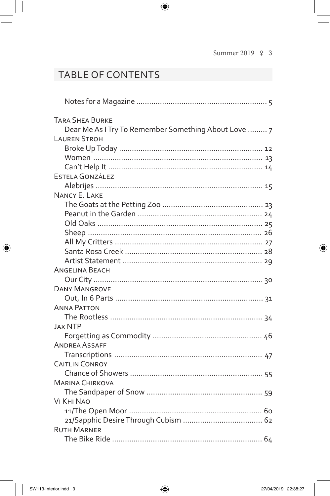## TABLE OF CONTENTS

| <b>TARA SHEA BURKE</b>                               |
|------------------------------------------------------|
| Dear Me As I Try To Remember Something About Love  7 |
| <b>LAUREN STROH</b>                                  |
|                                                      |
|                                                      |
|                                                      |
| ESTELA GONZÁLEZ                                      |
|                                                      |
| NANCY E. LAKE                                        |
|                                                      |
|                                                      |
|                                                      |
|                                                      |
|                                                      |
|                                                      |
|                                                      |
|                                                      |
| ANGELINA BEACH                                       |
|                                                      |
| <b>DANY MANGROVE</b>                                 |
|                                                      |
| ANNA PATTON                                          |
|                                                      |
| <b>JAX NTP</b>                                       |
|                                                      |
| <b>ANDREA ASSAFF</b>                                 |
|                                                      |
| <b>CAITLIN CONROY</b>                                |
|                                                      |
| <b>MARINA CHIRKOVA</b>                               |
|                                                      |
| VI KHI NAO                                           |
|                                                      |
|                                                      |
| <b>RUTH MARNER</b>                                   |
|                                                      |

 $\bigoplus$ 

 $\bigoplus$ 

 $\bigoplus$ 

 $\bigoplus$